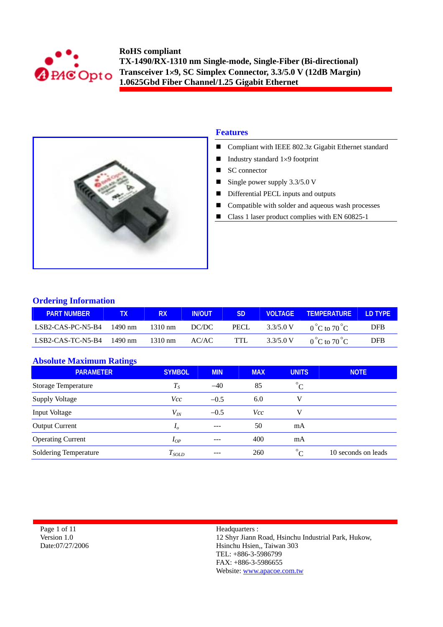



## **Features**

- Compliant with IEEE 802.3z Gigabit Ethernet standard
- Industry standard  $1\times9$  footprint
- SC connector
- Single power supply  $3.3/5.0$  V
- Differential PECL inputs and outputs
- Compatible with solder and aqueous wash processes
- Class 1 laser product complies with EN 60825-1

## **Ordering Information**

| <b>PART NUMBER</b> |         | <b>RX</b>         | <b>IN/OUT</b> | <b>SD</b> | <b>VOLTAGE</b> | <b>TEMPERATURE</b>              | <b>ID TYPE</b> |
|--------------------|---------|-------------------|---------------|-----------|----------------|---------------------------------|----------------|
| LSB2-CAS-PC-N5-B4  | 1490 nm | $1310 \text{ nm}$ | DC/DC         | PECL.     | 3.3/5.0 V      | $0^{\circ}$ C to $70^{\circ}$ C | <b>DFB</b>     |
| LSB2-CAS-TC-N5-B4  | 1490 nm | $1310 \text{ nm}$ | AC/AC         | TTL.      | 3.3/5.0 V      | $0^{\circ}$ C to $70^{\circ}$ C | <b>DFB</b>     |

### **Absolute Maximum Ratings**

| --<br><b>PARAMETER</b>     | <b>SYMBOL</b>  | <b>MIN</b> | <b>MAX</b> | <b>UNITS</b> | <b>NOTE</b>         |
|----------------------------|----------------|------------|------------|--------------|---------------------|
| <b>Storage Temperature</b> | $T_{S}$        | $-40$      | 85         | $^{\circ}C$  |                     |
| <b>Supply Voltage</b>      | <b>Vcc</b>     | $-0.5$     | 6.0        | V            |                     |
| Input Voltage              | $V_{lN}$       | $-0.5$     | Vcc        | V            |                     |
| <b>Output Current</b>      | I <sub>o</sub> | ---        | 50         | mA           |                     |
| <b>Operating Current</b>   | $I_{OP}$       | ---        | 400        | mA           |                     |
| Soldering Temperature      | $T_{SOLD}$     | ---        | 260        | $^{\circ}C$  | 10 seconds on leads |

| Page 1 of 11    |
|-----------------|
| Version 1.0     |
| Date:07/27/2006 |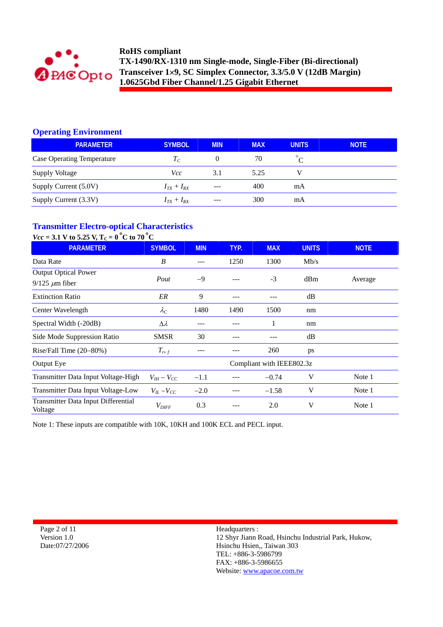

# **Operating Environment**

| <b>PARAMETER</b>                  | <b>SYMBOL</b>   | <b>MIN</b> | <b>MAX</b> | <b>UNITS</b> | <b>NOTE</b> |
|-----------------------------------|-----------------|------------|------------|--------------|-------------|
| <b>Case Operating Temperature</b> | $T_C$           | $\theta$   | 70         |              |             |
| <b>Supply Voltage</b>             | Vcc             | 3.1        | 5.25       |              |             |
| Supply Current (5.0V)             | $I_{TX}+I_{RX}$ | $---$      | 400        | mA           |             |
| Supply Current (3.3V)             | $I_{TX}+I_{RX}$ | $---$      | 300        | mA           |             |

#### **Transmitter Electro-optical Characteristics**  *Vcc* **= 3.1 V to 5.25 V, TC = 0** °**C to 70** °**C**

| $VCC = 3.1$ V to 3.25 V, $L_C = 0$ U to 70 U   |                     |            |      |                           |              |             |
|------------------------------------------------|---------------------|------------|------|---------------------------|--------------|-------------|
| <b>PARAMETER</b>                               | <b>SYMBOL</b>       | <b>MIN</b> | TYP. | <b>MAX</b>                | <b>UNITS</b> | <b>NOTE</b> |
| Data Rate                                      | B                   | ---        | 1250 | 1300                      | Mb/s         |             |
| <b>Output Optical Power</b>                    |                     |            |      |                           |              |             |
| $9/125 \ \mu m$ fiber                          | Pout                | $-9$       |      | $-3$                      | dBm          | Average     |
| <b>Extinction Ratio</b>                        | ER                  | 9          |      |                           | dB           |             |
| Center Wavelength                              | $\lambda_C$         | 1480       | 1490 | 1500                      | nm           |             |
| Spectral Width (-20dB)                         | $\Delta \lambda$    |            |      |                           | nm           |             |
| Side Mode Suppression Ratio                    | <b>SMSR</b>         | 30         |      |                           | dB           |             |
| Rise/Fall Time $(20-80%)$                      | $T_{r,f}$           | ---        |      | 260                       | ps           |             |
| Output Eye                                     |                     |            |      | Compliant with IEEE802.3z |              |             |
| Transmitter Data Input Voltage-High            | $V_{IH} - V_{CC}$   | $-1.1$     |      | $-0.74$                   | V            | Note 1      |
| Transmitter Data Input Voltage-Low             | $V_{IL}$ – $V_{CC}$ | $-2.0$     | ---  | $-1.58$                   | V            | Note 1      |
| Transmitter Data Input Differential<br>Voltage | $V_{\text{DIFF}}$   | 0.3        |      | 2.0                       | V            | Note 1      |

Note 1: These inputs are compatible with 10K, 10KH and 100K ECL and PECL input.

Page 2 of 11 Version 1.0 Date:07/27/2006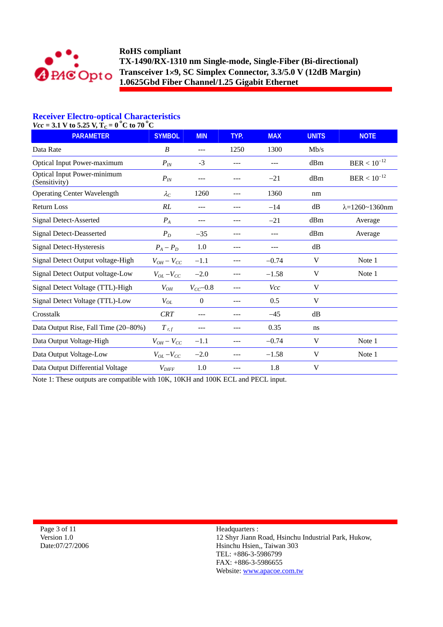

# **Receiver Electro-optical Characteristics**

 $Vcc = 3.1$  V to 5.25 V,  $T_c = 0$  °C to 70 °C

| $-$ 0.1 $\rightarrow$ 0.0 0.20 $\rightarrow$ 1.4<br><b>PARAMETER</b> | <b>SYMBOL</b>       | <b>MIN</b>     | TYP. | <b>MAX</b> | <b>UNITS</b> | <b>NOTE</b>                |
|----------------------------------------------------------------------|---------------------|----------------|------|------------|--------------|----------------------------|
| Data Rate                                                            | B                   | ---            | 1250 | 1300       | Mb/s         |                            |
| <b>Optical Input Power-maximum</b>                                   | $P_{I\!N}$          | $-3$           | ---  | ---        | dBm          | $BER < 10^{-12}$           |
| <b>Optical Input Power-minimum</b><br>(Sensitivity)                  | $P_{I\!N}$          | ---            |      | $-21$      | dBm          | $BER < 10^{-12}$           |
| <b>Operating Center Wavelength</b>                                   | $\lambda_C$         | 1260           |      | 1360       | nm           |                            |
| <b>Return Loss</b>                                                   | RL                  | ---            | ---  | $-14$      | dB           | $\lambda = 1260 - 1360$ nm |
| <b>Signal Detect-Asserted</b>                                        | $P_A$               | ---            | ---  | $-21$      | dBm          | Average                    |
| <b>Signal Detect-Deasserted</b>                                      | $P_D$               | $-35$          | ---  | $---$      | dBm          | Average                    |
| Signal Detect-Hysteresis                                             | $P_A - P_D$         | 1.0            | ---  | $---$      | dB           |                            |
| Signal Detect Output voltage-High                                    | $V_{OH} - V_{CC}$   | $-1.1$         | ---  | $-0.74$    | V            | Note 1                     |
| Signal Detect Output voltage-Low                                     | $V_{OL}$ – $V_{CC}$ | $-2.0$         |      | $-1.58$    | V            | Note 1                     |
| Signal Detect Voltage (TTL)-High                                     | $V_{OH}$            | $V_{CC}$ -0.8  |      | Vcc        | V            |                            |
| Signal Detect Voltage (TTL)-Low                                      | $V_{OL}$            | $\overline{0}$ |      | 0.5        | V            |                            |
| Crosstalk                                                            | <b>CRT</b>          | ---            |      | $-45$      | dB           |                            |
| Data Output Rise, Fall Time (20–80%)                                 | $T$ r, f            |                |      | 0.35       | ns           |                            |
| Data Output Voltage-High                                             | $V_{OH} - V_{CC}$   | $-1.1$         |      | $-0.74$    | V            | Note 1                     |
| Data Output Voltage-Low                                              | $V_{OL} - V_{CC}$   | $-2.0$         |      | $-1.58$    | V            | Note 1                     |
| Data Output Differential Voltage                                     | $V_{\text{DIFF}}$   | 1.0            |      | 1.8        | V            |                            |

Note 1: These outputs are compatible with 10K, 10KH and 100K ECL and PECL input.

Page 3 of 11 Version 1.0 Date:07/27/2006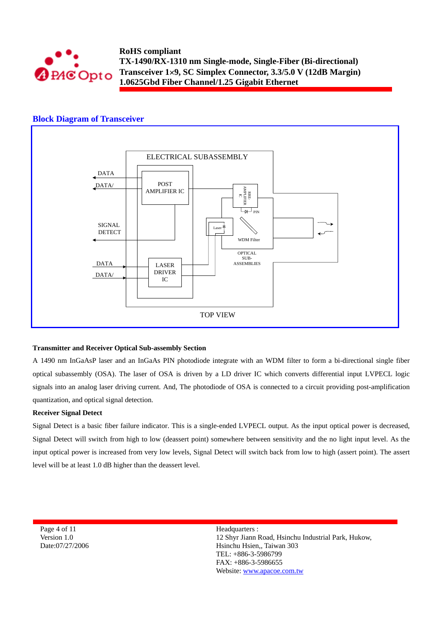

#### **Block Diagram of Transceiver**



#### **Transmitter and Receiver Optical Sub-assembly Section**

A 1490 nm InGaAsP laser and an InGaAs PIN photodiode integrate with an WDM filter to form a bi-directional single fiber optical subassembly (OSA). The laser of OSA is driven by a LD driver IC which converts differential input LVPECL logic signals into an analog laser driving current. And, The photodiode of OSA is connected to a circuit providing post-amplification quantization, and optical signal detection.

#### **Receiver Signal Detect**

Signal Detect is a basic fiber failure indicator. This is a single-ended LVPECL output. As the input optical power is decreased, Signal Detect will switch from high to low (deassert point) somewhere between sensitivity and the no light input level. As the input optical power is increased from very low levels, Signal Detect will switch back from low to high (assert point). The assert level will be at least 1.0 dB higher than the deassert level.

Page 4 of 11 Version 1.0 Date:07/27/2006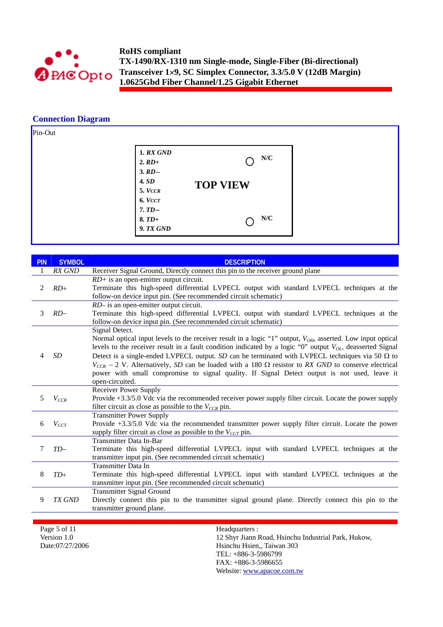

### **Connection Diagram**



| <b>PIN</b> | <b>SYMBOL</b> | <b>DESCRIPTION</b>                                                                                                                                                                                                                                                                                                                                                                                                                                                                                                                                                                                   |
|------------|---------------|------------------------------------------------------------------------------------------------------------------------------------------------------------------------------------------------------------------------------------------------------------------------------------------------------------------------------------------------------------------------------------------------------------------------------------------------------------------------------------------------------------------------------------------------------------------------------------------------------|
|            | RX GND        | Receiver Signal Ground, Directly connect this pin to the receiver ground plane                                                                                                                                                                                                                                                                                                                                                                                                                                                                                                                       |
| 2          | $RD+$         | $RD$ + is an open-emitter output circuit.<br>Terminate this high-speed differential LVPECL output with standard LVPECL techniques at the<br>follow-on device input pin. (See recommended circuit schematic)                                                                                                                                                                                                                                                                                                                                                                                          |
| 3          | $RD-$         | RD- is an open-emitter output circuit.<br>Terminate this high-speed differential LVPECL output with standard LVPECL techniques at the<br>follow-on device input pin. (See recommended circuit schematic)                                                                                                                                                                                                                                                                                                                                                                                             |
| 4          | <b>SD</b>     | Signal Detect.<br>Normal optical input levels to the receiver result in a logic "1" output, $V_{OH}$ , asserted. Low input optical<br>levels to the receiver result in a fault condition indicated by a logic "0" output $V_{OL}$ , deasserted Signal<br>Detect is a single-ended LVPECL output. SD can be terminated with LVPECL techniques via 50 $\Omega$ to<br>$V_{CCR}$ – 2 V. Alternatively, SD can be loaded with a 180 $\Omega$ resistor to RX GND to conserve electrical<br>power with small compromise to signal quality. If Signal Detect output is not used, leave it<br>open-circuited. |
| 5          | $V_{CCR}$     | <b>Receiver Power Supply</b><br>Provide +3.3/5.0 Vdc via the recommended receiver power supply filter circuit. Locate the power supply<br>filter circuit as close as possible to the $V_{CCR}$ pin.                                                                                                                                                                                                                                                                                                                                                                                                  |
| 6          | $V_{CCT}$     | <b>Transmitter Power Supply</b><br>Provide +3.3/5.0 Vdc via the recommended transmitter power supply filter circuit. Locate the power<br>supply filter circuit as close as possible to the $V_{CCT}$ pin.                                                                                                                                                                                                                                                                                                                                                                                            |
| 7          | $TD-$         | Transmitter Data In-Bar<br>Terminate this high-speed differential LVPECL input with standard LVPECL techniques at the<br>transmitter input pin. (See recommended circuit schematic)                                                                                                                                                                                                                                                                                                                                                                                                                  |
| 8          | $TD+$         | <b>Transmitter Data In</b><br>Terminate this high-speed differential LVPECL input with standard LVPECL techniques at the<br>transmitter input pin. (See recommended circuit schematic)                                                                                                                                                                                                                                                                                                                                                                                                               |
| 9          | TX GND        | <b>Transmitter Signal Ground</b><br>Directly connect this pin to the transmitter signal ground plane. Directly connect this pin to the<br>transmitter ground plane.                                                                                                                                                                                                                                                                                                                                                                                                                                  |

Page 5 of 11 Version 1.0 Date:07/27/2006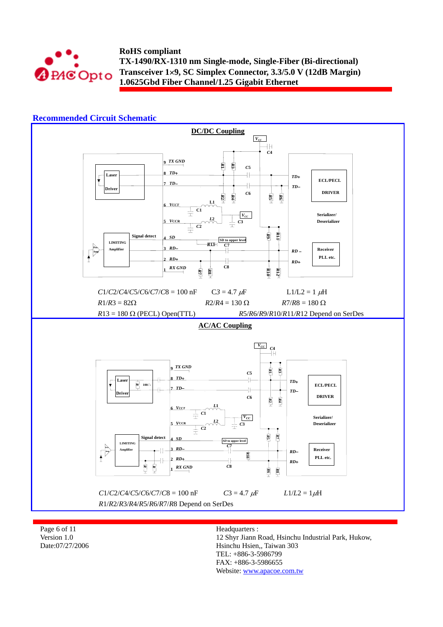

## **Recommended Circuit Schematic**



Page 6 of 11 Version 1.0 Date:07/27/2006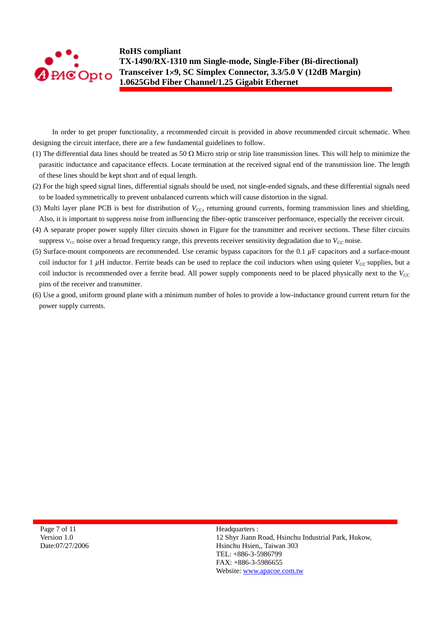

In order to get proper functionality, a recommended circuit is provided in above recommended circuit schematic. When designing the circuit interface, there are a few fundamental guidelines to follow.

- (1) The differential data lines should be treated as 50  $\Omega$  Micro strip or strip line transmission lines. This will help to minimize the parasitic inductance and capacitance effects. Locate termination at the received signal end of the transmission line. The length of these lines should be kept short and of equal length.
- (2) For the high speed signal lines, differential signals should be used, not single-ended signals, and these differential signals need to be loaded symmetrically to prevent unbalanced currents which will cause distortion in the signal.
- (3) Multi layer plane PCB is best for distribution of  $V_{CC}$ , returning ground currents, forming transmission lines and shielding, Also, it is important to suppress noise from influencing the fiber-optic transceiver performance, especially the receiver circuit.
- (4) A separate proper power supply filter circuits shown in Figure for the transmitter and receiver sections. These filter circuits suppress  $V_{cc}$  noise over a broad frequency range, this prevents receiver sensitivity degradation due to  $V_{cc}$  noise.
- (5) Surface-mount components are recommended. Use ceramic bypass capacitors for the 0.1 *µ*F capacitors and a surface-mount coil inductor for 1  $\mu$ H inductor. Ferrite beads can be used to replace the coil inductors when using quieter  $V_{CC}$  supplies, but a coil inductor is recommended over a ferrite bead. All power supply components need to be placed physically next to the  $V_{CC}$ pins of the receiver and transmitter.
- (6) Use a good, uniform ground plane with a minimum number of holes to provide a low-inductance ground current return for the power supply currents.

Page 7 of 11 Version 1.0 Date:07/27/2006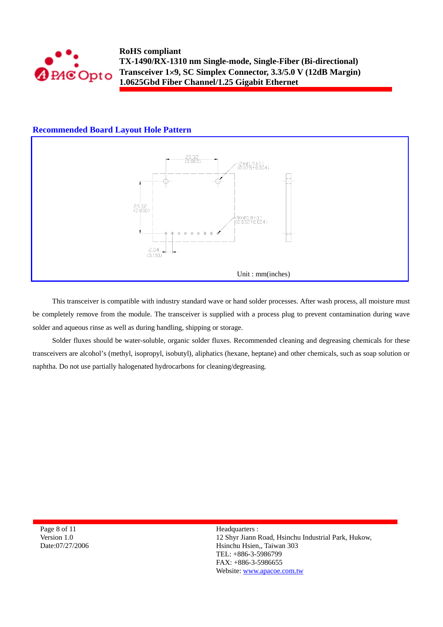

## **Recommended Board Layout Hole Pattern**



This transceiver is compatible with industry standard wave or hand solder processes. After wash process, all moisture must be completely remove from the module. The transceiver is supplied with a process plug to prevent contamination during wave solder and aqueous rinse as well as during handling, shipping or storage.

Solder fluxes should be water-soluble, organic solder fluxes. Recommended cleaning and degreasing chemicals for these transceivers are alcohol's (methyl, isopropyl, isobutyl), aliphatics (hexane, heptane) and other chemicals, such as soap solution or naphtha. Do not use partially halogenated hydrocarbons for cleaning/degreasing.

Page 8 of 11 Version 1.0 Date:07/27/2006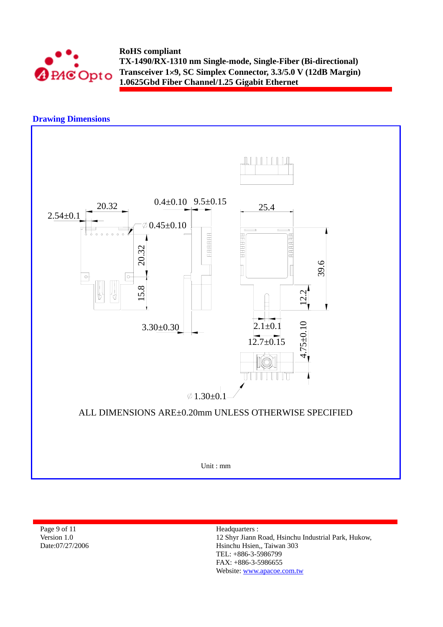

# **Drawing Dimensions**



Page 9 of 11 Version 1.0 Date:07/27/2006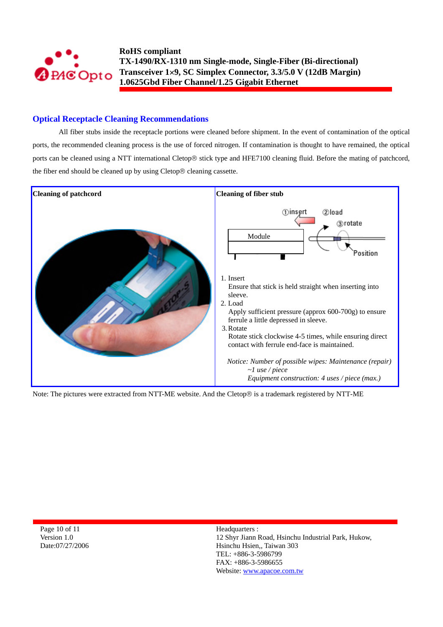

## **Optical Receptacle Cleaning Recommendations**

All fiber stubs inside the receptacle portions were cleaned before shipment. In the event of contamination of the optical ports, the recommended cleaning process is the use of forced nitrogen. If contamination is thought to have remained, the optical ports can be cleaned using a NTT international Cletop® stick type and HFE7100 cleaning fluid. Before the mating of patchcord, the fiber end should be cleaned up by using Cletop® cleaning cassette.



Note: The pictures were extracted from NTT-ME website. And the Cletop® is a trademark registered by NTT-ME

Page 10 of 11 Version 1.0 Date:07/27/2006